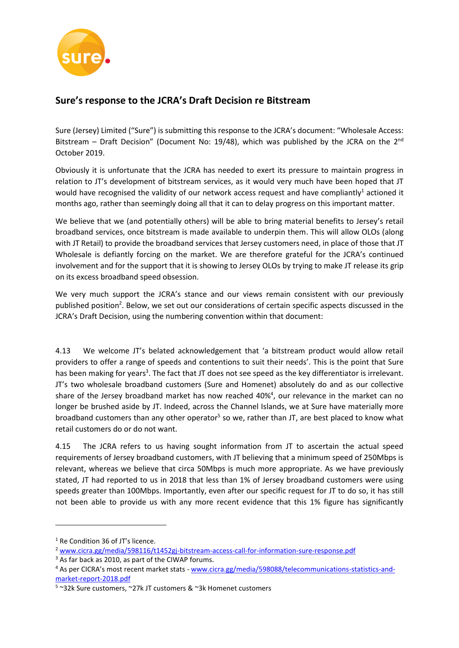

## **Sure's response to the JCRA's Draft Decision re Bitstream**

Sure (Jersey) Limited ("Sure") is submitting this response to the JCRA's document: "Wholesale Access: Bitstream – Draft Decision" (Document No: 19/48), which was published by the JCRA on the  $2^{nd}$ October 2019.

Obviously it is unfortunate that the JCRA has needed to exert its pressure to maintain progress in relation to JT's development of bitstream services, as it would very much have been hoped that JT would have recognised the validity of our network access request and have compliantly<sup>1</sup> actioned it months ago, rather than seemingly doing all that it can to delay progress on this important matter.

We believe that we (and potentially others) will be able to bring material benefits to Jersey's retail broadband services, once bitstream is made available to underpin them. This will allow OLOs (along with JT Retail) to provide the broadband services that Jersey customers need, in place of those that JT Wholesale is defiantly forcing on the market. We are therefore grateful for the JCRA's continued involvement and for the support that it is showing to Jersey OLOs by trying to make JT release its grip on its excess broadband speed obsession.

We very much support the JCRA's stance and our views remain consistent with our previously published position<sup>2</sup>. Below, we set out our considerations of certain specific aspects discussed in the JCRA's Draft Decision, using the numbering convention within that document:

4.13 We welcome JT's belated acknowledgement that 'a bitstream product would allow retail providers to offer a range of speeds and contentions to suit their needs'. This is the point that Sure has been making for years<sup>3</sup>. The fact that JT does not see speed as the key differentiator is irrelevant. JT's two wholesale broadband customers (Sure and Homenet) absolutely do and as our collective share of the Jersey broadband market has now reached 40%<sup>4</sup>, our relevance in the market can no longer be brushed aside by JT. Indeed, across the Channel Islands, we at Sure have materially more broadband customers than any other operator<sup>5</sup> so we, rather than JT, are best placed to know what retail customers do or do not want.

4.15 The JCRA refers to us having sought information from JT to ascertain the actual speed requirements of Jersey broadband customers, with JT believing that a minimum speed of 250Mbps is relevant, whereas we believe that circa 50Mbps is much more appropriate. As we have previously stated, JT had reported to us in 2018 that less than 1% of Jersey broadband customers were using speeds greater than 100Mbps. Importantly, even after our specific request for JT to do so, it has still not been able to provide us with any more recent evidence that this 1% figure has significantly

<sup>&</sup>lt;sup>1</sup> Re Condition 36 of JT's licence.

<sup>2</sup> [www.cicra.gg/media/598116/t1452gj-bitstream-access-call-for-information-sure-response.pdf](http://www.cicra.gg/media/598116/t1452gj-bitstream-access-call-for-information-sure-response.pdf)

<sup>&</sup>lt;sup>3</sup> As far back as 2010, as part of the CIWAP forums.

<sup>&</sup>lt;sup>4</sup> As per CICRA's most recent market stats - [www.cicra.gg/media/598088/telecommunications-statistics-and](http://www.cicra.gg/media/598088/telecommunications-statistics-and-market-report-2018.pdf)[market-report-2018.pdf](http://www.cicra.gg/media/598088/telecommunications-statistics-and-market-report-2018.pdf)

<sup>5</sup> ~32k Sure customers, ~27k JT customers & ~3k Homenet customers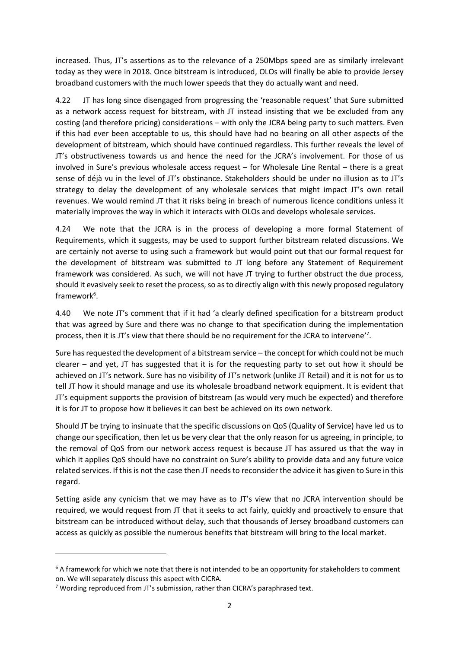increased. Thus, JT's assertions as to the relevance of a 250Mbps speed are as similarly irrelevant today as they were in 2018. Once bitstream is introduced, OLOs will finally be able to provide Jersey broadband customers with the much lower speeds that they do actually want and need.

4.22 JT has long since disengaged from progressing the 'reasonable request' that Sure submitted as a network access request for bitstream, with JT instead insisting that we be excluded from any costing (and therefore pricing) considerations – with only the JCRA being party to such matters. Even if this had ever been acceptable to us, this should have had no bearing on all other aspects of the development of bitstream, which should have continued regardless. This further reveals the level of JT's obstructiveness towards us and hence the need for the JCRA's involvement. For those of us involved in Sure's previous wholesale access request – for Wholesale Line Rental – there is a great sense of déjà vu in the level of JT's obstinance. Stakeholders should be under no illusion as to JT's strategy to delay the development of any wholesale services that might impact JT's own retail revenues. We would remind JT that it risks being in breach of numerous licence conditions unless it materially improves the way in which it interacts with OLOs and develops wholesale services.

4.24 We note that the JCRA is in the process of developing a more formal Statement of Requirements, which it suggests, may be used to support further bitstream related discussions. We are certainly not averse to using such a framework but would point out that our formal request for the development of bitstream was submitted to JT long before any Statement of Requirement framework was considered. As such, we will not have JT trying to further obstruct the due process, should it evasively seek to reset the process, so as to directly align with this newly proposed regulatory framework<sup>6</sup>.

4.40 We note JT's comment that if it had 'a clearly defined specification for a bitstream product that was agreed by Sure and there was no change to that specification during the implementation process, then it is JT's view that there should be no requirement for the JCRA to intervene'<sup>7</sup>.

Sure has requested the development of a bitstream service – the concept for which could not be much clearer – and yet, JT has suggested that it is for the requesting party to set out how it should be achieved on JT's network. Sure has no visibility of JT's network (unlike JT Retail) and it is not for us to tell JT how it should manage and use its wholesale broadband network equipment. It is evident that JT's equipment supports the provision of bitstream (as would very much be expected) and therefore it is for JT to propose how it believes it can best be achieved on its own network.

Should JT be trying to insinuate that the specific discussions on QoS (Quality of Service) have led us to change our specification, then let us be very clear that the only reason for us agreeing, in principle, to the removal of QoS from our network access request is because JT has assured us that the way in which it applies QoS should have no constraint on Sure's ability to provide data and any future voice related services. If this is not the case then JT needs to reconsider the advice it has given to Sure in this regard.

Setting aside any cynicism that we may have as to JT's view that no JCRA intervention should be required, we would request from JT that it seeks to act fairly, quickly and proactively to ensure that bitstream can be introduced without delay, such that thousands of Jersey broadband customers can access as quickly as possible the numerous benefits that bitstream will bring to the local market.

<sup>&</sup>lt;sup>6</sup> A framework for which we note that there is not intended to be an opportunity for stakeholders to comment on. We will separately discuss this aspect with CICRA.

 $7$  Wording reproduced from JT's submission, rather than CICRA's paraphrased text.